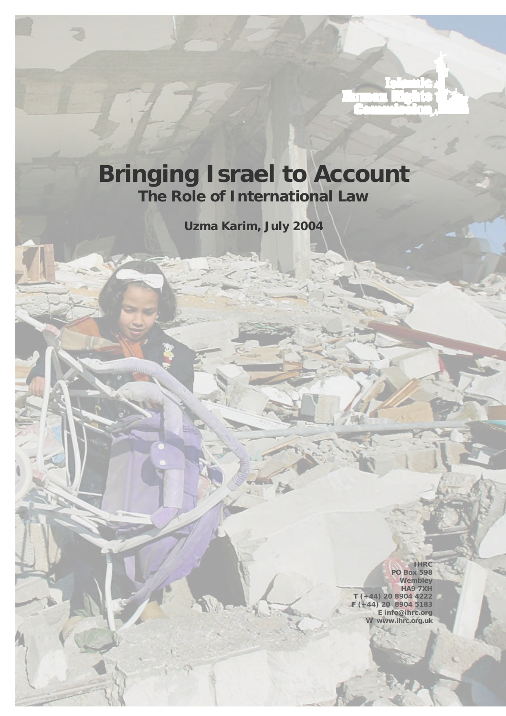## **Bringing Israel to Account The Role of International Law**

**Uzma Karim, July 2004**

F.

**IHRC PO Box 598 Wembley HA9 7XH T (+44) 20 8904 4222 F (+44) 20 8904 5183 E info@ihrc.org W www.ihrc.org.uk**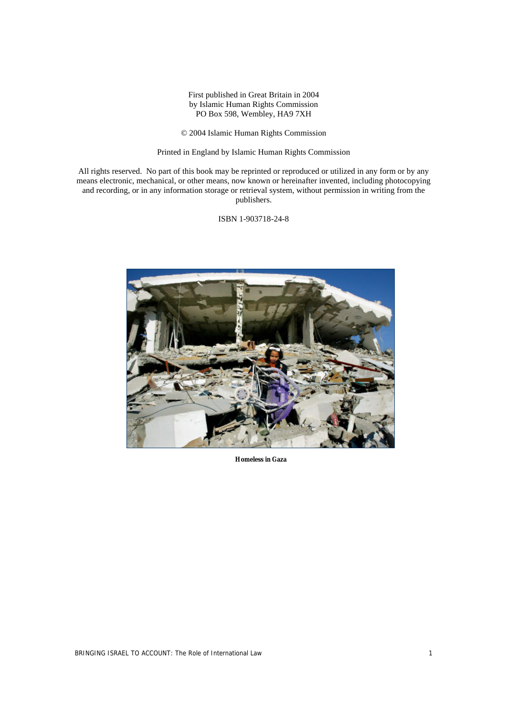First published in Great Britain in 2004 by Islamic Human Rights Commission PO Box 598, Wembley, HA9 7XH

© 2004 Islamic Human Rights Commission

Printed in England by Islamic Human Rights Commission

All rights reserved. No part of this book may be reprinted or reproduced or utilized in any form or by any means electronic, mechanical, or other means, now known or hereinafter invented, including photocopying and recording, or in any information storage or retrieval system, without permission in writing from the publishers.

ISBN 1-903718-24-8



**Homeless in Gaza**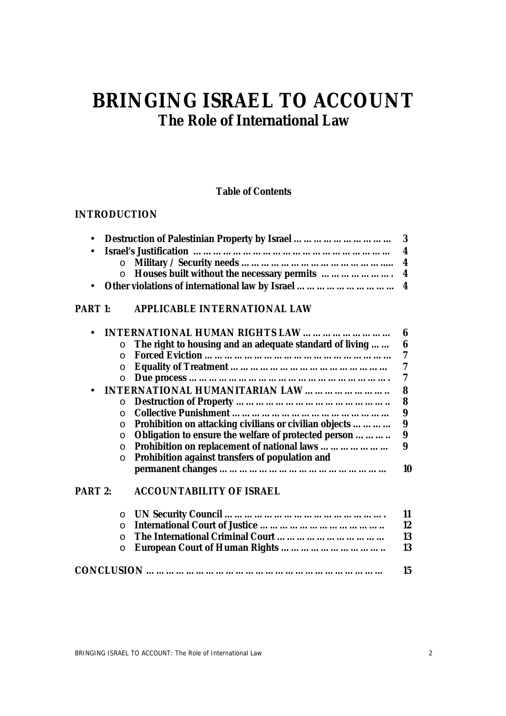## **BRINGING ISRAEL TO ACCOUNT The Role of International Law**

### **Table of Contents**

## **INTRODUCTION**

#### **PART 1: APPLICABLE INTERNATIONAL LAW**

|                |          | <b>INTERNATIONAL HUMAN RIGHTS LAW </b>                  | 6  |
|----------------|----------|---------------------------------------------------------|----|
|                |          | The right to housing and an adequate standard of living | 6  |
|                |          |                                                         | 7  |
|                | O        |                                                         | 7  |
|                |          |                                                         | 7  |
|                |          | <b>INTERNATIONAL HUMANITARIAN LAW </b>                  | 8  |
|                |          |                                                         | 8  |
|                |          |                                                         | 9  |
|                | O        | Prohibition on attacking civilians or civilian objects  | 9  |
|                | $\circ$  | Obligation to ensure the welfare of protected person    | 9  |
|                | $\circ$  | Prohibition on replacement of national laws             | 9  |
|                |          | Prohibition against transfers of population and         |    |
|                |          |                                                         | 10 |
| <b>PART 2:</b> |          | <b>ACCOUNTABILITY OF ISRAEL</b>                         |    |
|                | $\circ$  |                                                         | 11 |
|                | $\Omega$ |                                                         | 12 |
|                |          |                                                         | 13 |
|                | O        |                                                         | 13 |

| 15 |
|----|

o **European Court of Human Rights ………………………….. 13**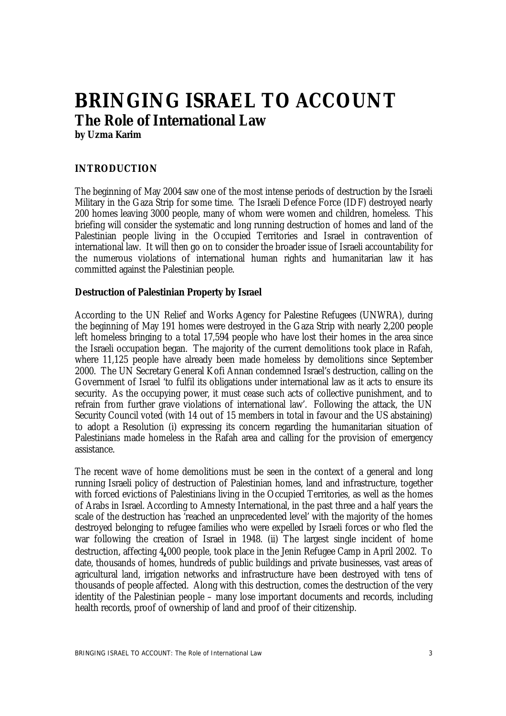# **BRINGING ISRAEL TO ACCOUNT The Role of International Law**

**by Uzma Karim**

## **INTRODUCTION**

The beginning of May 2004 saw one of the most intense periods of destruction by the Israeli Military in the Gaza Strip for some time. The Israeli Defence Force (IDF) destroyed nearly 200 homes leaving 3000 people, many of whom were women and children, homeless. This briefing will consider the systematic and long running destruction of homes and land of the Palestinian people living in the Occupied Territories and Israel in contravention of international law. It will then go on to consider the broader issue of Israeli accountability for the numerous violations of international human rights and humanitarian law it has committed against the Palestinian people.

#### **Destruction of Palestinian Property by Israel**

According to the UN Relief and Works Agency for Palestine Refugees (UNWRA), during the beginning of May 191 homes were destroyed in the Gaza Strip with nearly 2,200 people left homeless bringing to a total 17,594 people who have lost their homes in the area since the Israeli occupation began. The majority of the current demolitions took place in Rafah, where 11,125 people have already been made homeless by demolitions since September 2000. The UN Secretary General Kofi Annan condemned Israel's destruction, calling on the Government of Israel 'to fulfil its obligations under international law as it acts to ensure its security. As the occupying power, it must cease such acts of collective punishment, and to refrain from further grave violations of international law'. Following the attack, the UN Security Council voted (with 14 out of 15 members in total in favour and the US abstaining) to adopt a Resolution (i) expressing its concern regarding the humanitarian situation of Palestinians made homeless in the Rafah area and calling for the provision of emergency assistance.

The recent wave of home demolitions must be seen in the context of a general and long running Israeli policy of destruction of Palestinian homes, land and infrastructure, together with forced evictions of Palestinians living in the Occupied Territories, as well as the homes of Arabs in Israel. According to Amnesty International, in the past three and a half years the scale of the destruction has 'reached an unprecedented level' with the majority of the homes destroyed belonging to refugee families who were expelled by Israeli forces or who fled the war following the creation of Israel in 1948. (ii) The largest single incident of home destruction, affecting 4**,**000 people, took place in the Jenin Refugee Camp in April 2002. To date, thousands of homes, hundreds of public buildings and private businesses, vast areas of agricultural land, irrigation networks and infrastructure have been destroyed with tens of thousands of people affected. Along with this destruction, comes the destruction of the very identity of the Palestinian people – many lose important documents and records, including health records, proof of ownership of land and proof of their citizenship.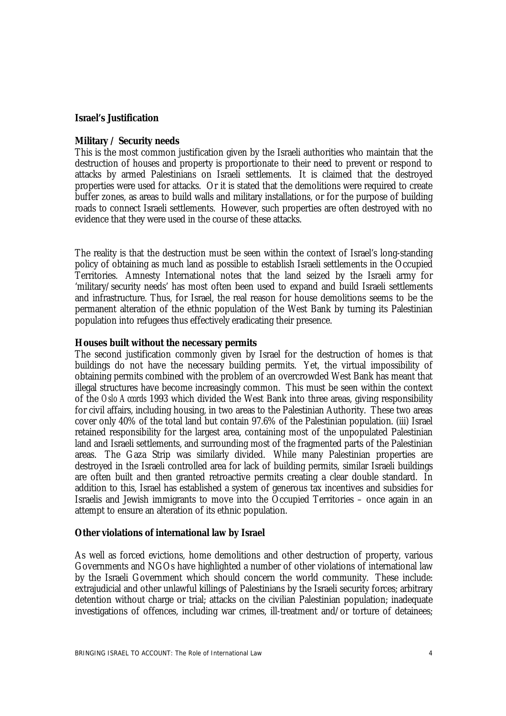#### **Israel's Justification**

#### *Military / Security needs*

This is the most common justification given by the Israeli authorities who maintain that the destruction of houses and property is proportionate to their need to prevent or respond to attacks by armed Palestinians on Israeli settlements. It is claimed that the destroyed properties were used for attacks. Or it is stated that the demolitions were required to create buffer zones, as areas to build walls and military installations, or for the purpose of building roads to connect Israeli settlements. However, such properties are often destroyed with no evidence that they were used in the course of these attacks.

The reality is that the destruction must be seen within the context of Israel's long-standing policy of obtaining as much land as possible to establish Israeli settlements in the Occupied Territories. Amnesty International notes that the land seized by the Israeli army for 'military/security needs' has most often been used to expand and build Israeli settlements and infrastructure. Thus, for Israel, the real reason for house demolitions seems to be the permanent alteration of the ethnic population of the West Bank by turning its Palestinian population into refugees thus effectively eradicating their presence.

#### *Houses built without the necessary permits*

The second justification commonly given by Israel for the destruction of homes is that buildings do not have the necessary building permits. Yet, the virtual impossibility of obtaining permits combined with the problem of an overcrowded West Bank has meant that illegal structures have become increasingly common. This must be seen within the context of the *Oslo Accords* 1993 which divided the West Bank into three areas, giving responsibility for civil affairs, including housing, in two areas to the Palestinian Authority. These two areas cover only 40% of the total land but contain 97.6% of the Palestinian population. (iii) Israel retained responsibility for the largest area, containing most of the unpopulated Palestinian land and Israeli settlements, and surrounding most of the fragmented parts of the Palestinian areas. The Gaza Strip was similarly divided. While many Palestinian properties are destroyed in the Israeli controlled area for lack of building permits, similar Israeli buildings are often built and then granted retroactive permits creating a clear double standard. In addition to this, Israel has established a system of generous tax incentives and subsidies for Israelis and Jewish immigrants to move into the Occupied Territories – once again in an attempt to ensure an alteration of its ethnic population.

#### **Other violations of international law by Israel**

As well as forced evictions, home demolitions and other destruction of property, various Governments and NGOs have highlighted a number of other violations of international law by the Israeli Government which should concern the world community. These include: extrajudicial and other unlawful killings of Palestinians by the Israeli security forces; arbitrary detention without charge or trial; attacks on the civilian Palestinian population; inadequate investigations of offences, including war crimes, ill-treatment and/or torture of detainees;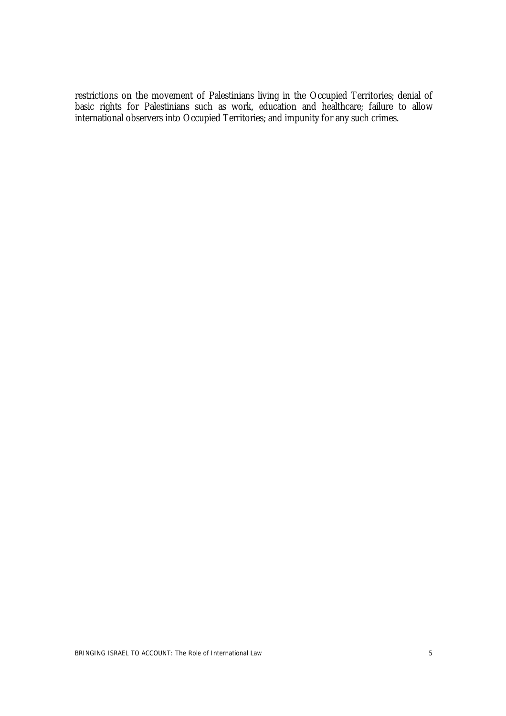restrictions on the movement of Palestinians living in the Occupied Territories; denial of basic rights for Palestinians such as work, education and healthcare; failure to allow international observers into Occupied Territories; and impunity for any such crimes.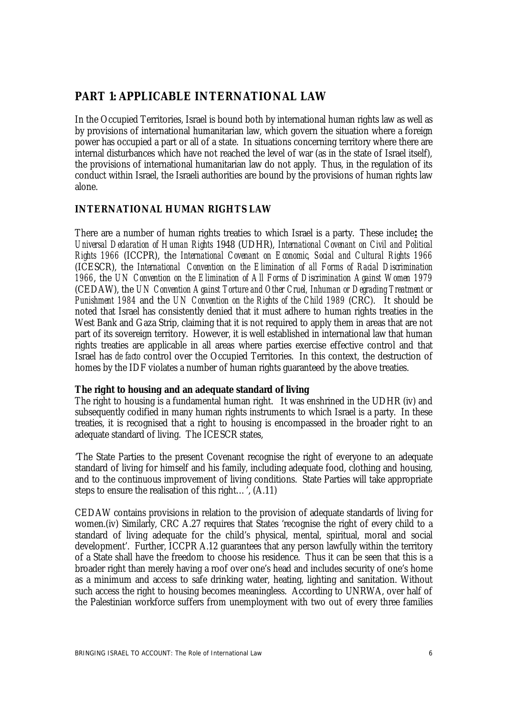## **PART 1: APPLICABLE INTERNATIONAL LAW**

In the Occupied Territories, Israel is bound both by international human rights law as well as by provisions of international humanitarian law, which govern the situation where a foreign power has occupied a part or all of a state. In situations concerning territory where there are internal disturbances which have not reached the level of war (as in the state of Israel itself), the provisions of international humanitarian law do not apply. Thus, in the regulation of its conduct within Israel, the Israeli authorities are bound by the provisions of human rights law alone.

### **INTERNATIONAL HUMAN RIGHTS LAW**

There are a number of human rights treaties to which Israel is a party. These include**:** the *Universal Declaration of Human Rights* 1948 (UDHR), *International Covenant on Civil and Political Rights 1966* (ICCPR), the *International Covenant on Economic, Social and Cultural Rights 1966* (ICESCR), the *International Convention on the Elimination of all Forms of Racial Discrimination 1966*, the *UN Convention on the Elimination of All Forms of Discrimination Against Women 1979* (CEDAW), the *UN Convention Against Torture and Other Cruel, Inhuman or Degrading Treatment or Punishment 1984* and the *UN Convention on the Rights of the Child 1989* (CRC). It should be noted that Israel has consistently denied that it must adhere to human rights treaties in the West Bank and Gaza Strip, claiming that it is not required to apply them in areas that are not part of its sovereign territory. However, it is well established in international law that human rights treaties are applicable in all areas where parties exercise effective control and that Israel has *de facto* control over the Occupied Territories. In this context, the destruction of homes by the IDF violates a number of human rights guaranteed by the above treaties.

#### *The right to housing and an adequate standard of living*

The right to housing is a fundamental human right. It was enshrined in the UDHR (iv) and subsequently codified in many human rights instruments to which Israel is a party. In these treaties, it is recognised that a right to housing is encompassed in the broader right to an adequate standard of living. The ICESCR states,

'The State Parties to the present Covenant recognise the right of everyone to an adequate standard of living for himself and his family, including adequate food, clothing and housing, and to the continuous improvement of living conditions. State Parties will take appropriate steps to ensure the realisation of this right...',  $(A.11)$ 

CEDAW contains provisions in relation to the provision of adequate standards of living for women.(iv) Similarly, CRC A.27 requires that States 'recognise the right of every child to a standard of living adequate for the child's physical, mental, spiritual, moral and social development'. Further, ICCPR A.12 guarantees that any person lawfully within the territory of a State shall have the freedom to choose his residence. Thus it can be seen that this is a broader right than merely having a roof over one's head and includes security of one's home as a minimum and access to safe drinking water, heating, lighting and sanitation. Without such access the right to housing becomes meaningless. According to UNRWA, over half of the Palestinian workforce suffers from unemployment with two out of every three families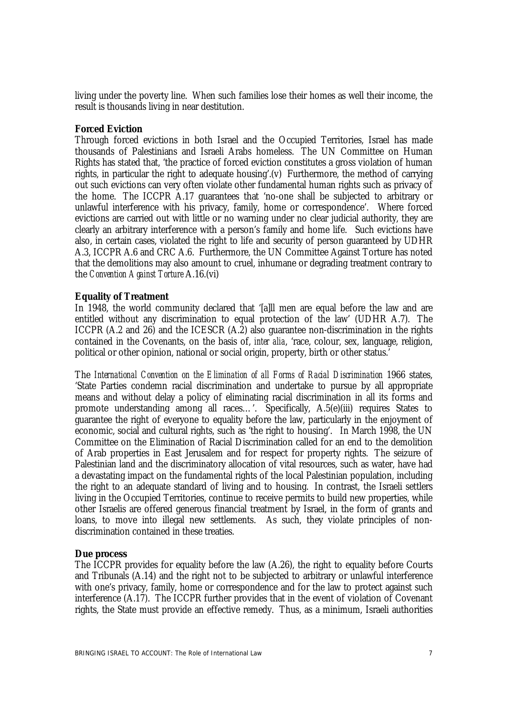living under the poverty line. When such families lose their homes as well their income, the result is thousands living in near destitution.

#### *Forced Eviction*

Through forced evictions in both Israel and the Occupied Territories, Israel has made thousands of Palestinians and Israeli Arabs homeless. The UN Committee on Human Rights has stated that, 'the practice of forced eviction constitutes a gross violation of human rights, in particular the right to adequate housing'.(v) Furthermore, the method of carrying out such evictions can very often violate other fundamental human rights such as privacy of the home. The ICCPR A.17 guarantees that 'no-one shall be subjected to arbitrary or unlawful interference with his privacy, family, home or correspondence'. Where forced evictions are carried out with little or no warning under no clear judicial authority, they are clearly an arbitrary interference with a person's family and home life. Such evictions have also, in certain cases, violated the right to life and security of person guaranteed by UDHR A.3, ICCPR A.6 and CRC A.6. Furthermore, the UN Committee Against Torture has noted that the demolitions may also amount to cruel, inhumane or degrading treatment contrary to the *Convention Against Torture* A.16.(vi)

#### *Equality of Treatment*

In 1948, the world community declared that '[a]ll men are equal before the law and are entitled without any discrimination to equal protection of the law' (UDHR A.7). The ICCPR (A.2 and 26) and the ICESCR (A.2) also guarantee non-discrimination in the rights contained in the Covenants, on the basis of, *inter alia*, 'race, colour, sex, language, religion, political or other opinion, national or social origin, property, birth or other status.'

The *International Convention on the Elimination of all Forms of Racial Discrimination* 1966 states, 'State Parties condemn racial discrimination and undertake to pursue by all appropriate means and without delay a policy of eliminating racial discrimination in all its forms and promote understanding among all races...'. Specifically, A.5(e)(iii) requires States to guarantee the right of everyone to equality before the law, particularly in the enjoyment of economic, social and cultural rights, such as 'the right to housing'. In March 1998, the UN Committee on the Elimination of Racial Discrimination called for an end to the demolition of Arab properties in East Jerusalem and for respect for property rights. The seizure of Palestinian land and the discriminatory allocation of vital resources, such as water, have had a devastating impact on the fundamental rights of the local Palestinian population, including the right to an adequate standard of living and to housing. In contrast, the Israeli settlers living in the Occupied Territories, continue to receive permits to build new properties, while other Israelis are offered generous financial treatment by Israel, in the form of grants and loans, to move into illegal new settlements. As such, they violate principles of nondiscrimination contained in these treaties.

#### *Due process*

The ICCPR provides for equality before the law (A.26), the right to equality before Courts and Tribunals (A.14) and the right not to be subjected to arbitrary or unlawful interference with one's privacy, family, home or correspondence and for the law to protect against such interference (A.17). The ICCPR further provides that in the event of violation of Covenant rights, the State must provide an effective remedy. Thus, as a minimum, Israeli authorities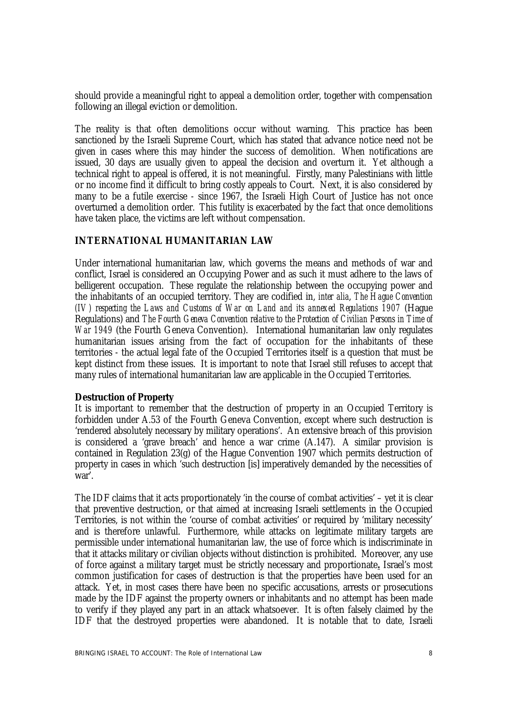should provide a meaningful right to appeal a demolition order, together with compensation following an illegal eviction or demolition.

The reality is that often demolitions occur without warning. This practice has been sanctioned by the Israeli Supreme Court, which has stated that advance notice need not be given in cases where this may hinder the success of demolition. When notifications are issued, 30 days are usually given to appeal the decision and overturn it. Yet although a technical right to appeal is offered, it is not meaningful. Firstly, many Palestinians with little or no income find it difficult to bring costly appeals to Court. Next, it is also considered by many to be a futile exercise - since 1967, the Israeli High Court of Justice has not once overturned a demolition order. This futility is exacerbated by the fact that once demolitions have taken place, the victims are left without compensation.

#### **INTERNATIONAL HUMANITARIAN LAW**

Under international humanitarian law, which governs the means and methods of war and conflict, Israel is considered an Occupying Power and as such it must adhere to the laws of belligerent occupation. These regulate the relationship between the occupying power and the inhabitants of an occupied territory. They are codified in, *inter alia*, *The Hague Convention (IV) respecting the Laws and Customs of War on Land and its annexed Regulations 1907* (Hague Regulations) and *The Fourth Geneva Convention relative to the Protection of Civilian Persons in Time of War 1949* (the Fourth Geneva Convention). International humanitarian law only regulates humanitarian issues arising from the fact of occupation for the inhabitants of these territories - the actual legal fate of the Occupied Territories itself is a question that must be kept distinct from these issues. It is important to note that Israel still refuses to accept that many rules of international humanitarian law are applicable in the Occupied Territories.

#### *Destruction of Property*

It is important to remember that the destruction of property in an Occupied Territory is forbidden under A.53 of the Fourth Geneva Convention, except where such destruction is 'rendered absolutely necessary by military operations'. An extensive breach of this provision is considered a 'grave breach' and hence a war crime (A.147). A similar provision is contained in Regulation 23(g) of the Hague Convention 1907 which permits destruction of property in cases in which 'such destruction [is] imperatively demanded by the necessities of war'.

The IDF claims that it acts proportionately 'in the course of combat activities' – yet it is clear that preventive destruction, or that aimed at increasing Israeli settlements in the Occupied Territories, is not within the 'course of combat activities' or required by 'military necessity' and is therefore unlawful. Furthermore, while attacks on legitimate military targets are permissible under international humanitarian law, the use of force which is indiscriminate in that it attacks military or civilian objects without distinction is prohibited. Moreover, any use of force against a military target must be strictly necessary and proportionate**.** Israel's most common justification for cases of destruction is that the properties have been used for an attack. Yet, in most cases there have been no specific accusations, arrests or prosecutions made by the IDF against the property owners or inhabitants and no attempt has been made to verify if they played any part in an attack whatsoever. It is often falsely claimed by the IDF that the destroyed properties were abandoned. It is notable that to date, Israeli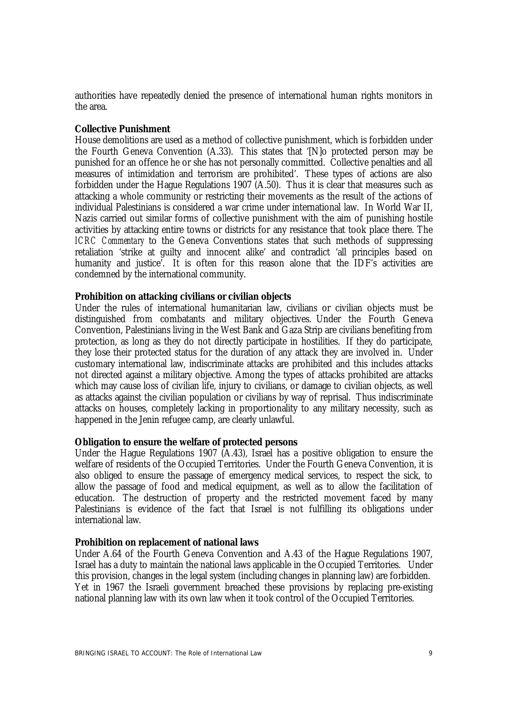authorities have repeatedly denied the presence of international human rights monitors in the area.

#### *Collective Punishment*

House demolitions are used as a method of collective punishment, which is forbidden under the Fourth Geneva Convention (A.33). This states that '[N]o protected person may be punished for an offence he or she has not personally committed. Collective penalties and all measures of intimidation and terrorism are prohibited'. These types of actions are also forbidden under the Hague Regulations 1907 (A.50). Thus it is clear that measures such as attacking a whole community or restricting their movements as the result of the actions of individual Palestinians is considered a war crime under international law. In World War II, Nazis carried out similar forms of collective punishment with the aim of punishing hostile activities by attacking entire towns or districts for any resistance that took place there. The *ICRC Commentary* to the Geneva Conventions states that such methods of suppressing retaliation 'strike at guilty and innocent alike' and contradict 'all principles based on humanity and justice'. It is often for this reason alone that the IDF's activities are condemned by the international community.

#### *Prohibition on attacking civilians or civilian objects*

Under the rules of international humanitarian law, civilians or civilian objects must be distinguished from combatants and military objectives. Under the Fourth Geneva Convention, Palestinians living in the West Bank and Gaza Strip are civilians benefiting from protection, as long as they do not directly participate in hostilities. If they do participate, they lose their protected status for the duration of any attack they are involved in. Under customary international law, indiscriminate attacks are prohibited and this includes attacks not directed against a military objective. Among the types of attacks prohibited are attacks which may cause loss of civilian life, injury to civilians, or damage to civilian objects, as well as attacks against the civilian population or civilians by way of reprisal. Thus indiscriminate attacks on houses, completely lacking in proportionality to any military necessity, such as happened in the Jenin refugee camp, are clearly unlawful.

#### *Obligation to ensure the welfare of protected persons*

Under the Hague Regulations 1907 (A.43), Israel has a positive obligation to ensure the welfare of residents of the Occupied Territories. Under the Fourth Geneva Convention, it is also obliged to ensure the passage of emergency medical services, to respect the sick, to allow the passage of food and medical equipment, as well as to allow the facilitation of education. The destruction of property and the restricted movement faced by many Palestinians is evidence of the fact that Israel is not fulfilling its obligations under international law.

#### *Prohibition on replacement of national laws*

Under A.64 of the Fourth Geneva Convention and A.43 of the Hague Regulations 1907, Israel has a duty to maintain the national laws applicable in the Occupied Territories. Under this provision, changes in the legal system (including changes in planning law) are forbidden. Yet in 1967 the Israeli government breached these provisions by replacing pre-existing national planning law with its own law when it took control of the Occupied Territories.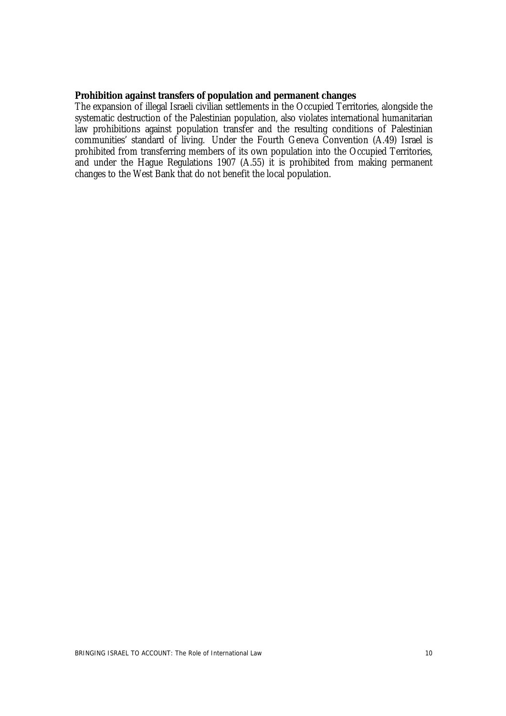#### *Prohibition against transfers of population and permanent changes*

The expansion of illegal Israeli civilian settlements in the Occupied Territories, alongside the systematic destruction of the Palestinian population, also violates international humanitarian law prohibitions against population transfer and the resulting conditions of Palestinian communities' standard of living. Under the Fourth Geneva Convention (A.49) Israel is prohibited from transferring members of its own population into the Occupied Territories, and under the Hague Regulations 1907 (A.55) it is prohibited from making permanent changes to the West Bank that do not benefit the local population.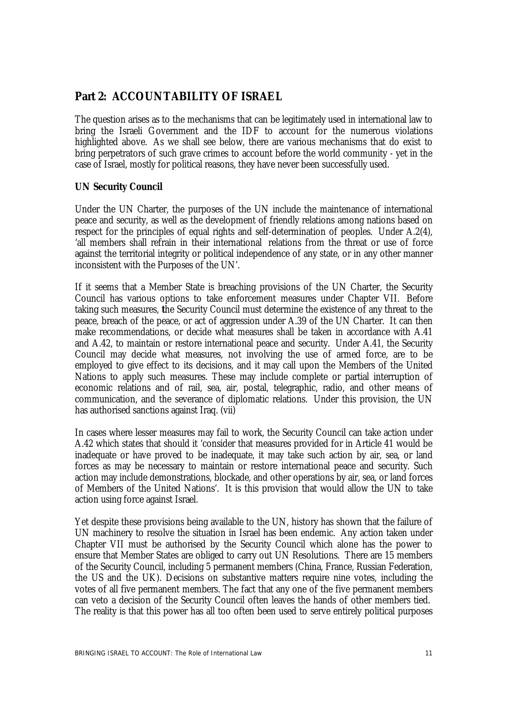## **Part 2: ACCOUNTABILITY OF ISRAEL**

The question arises as to the mechanisms that can be legitimately used in international law to bring the Israeli Government and the IDF to account for the numerous violations highlighted above. As we shall see below, there are various mechanisms that do exist to bring perpetrators of such grave crimes to account before the world community - yet in the case of Israel, mostly for political reasons, they have never been successfully used.

#### **UN Security Council**

Under the UN Charter, the purposes of the UN include the maintenance of international peace and security, as well as the development of friendly relations among nations based on respect for the principles of equal rights and self-determination of peoples. Under A.2(4), 'all members shall refrain in their international relations from the threat or use of force against the territorial integrity or political independence of any state, or in any other manner inconsistent with the Purposes of the UN'.

If it seems that a Member State is breaching provisions of the UN Charter, the Security Council has various options to take enforcement measures under Chapter VII. Before taking such measures, **t**he Security Council must determine the existence of any threat to the peace, breach of the peace, or act of aggression under A.39 of the UN Charter. It can then make recommendations, or decide what measures shall be taken in accordance with A.41 and A.42, to maintain or restore international peace and security. Under A.41, the Security Council may decide what measures, not involving the use of armed force, are to be employed to give effect to its decisions, and it may call upon the Members of the United Nations to apply such measures. These may include complete or partial interruption of economic relations and of rail, sea, air, postal, telegraphic, radio, and other means of communication, and the severance of diplomatic relations. Under this provision, the UN has authorised sanctions against Iraq. (vii)

In cases where lesser measures may fail to work, the Security Council can take action under A.42 which states that should it 'consider that measures provided for in Article 41 would be inadequate or have proved to be inadequate, it may take such action by air, sea, or land forces as may be necessary to maintain or restore international peace and security. Such action may include demonstrations, blockade, and other operations by air, sea, or land forces of Members of the United Nations'. It is this provision that would allow the UN to take action using force against Israel.

Yet despite these provisions being available to the UN, history has shown that the failure of UN machinery to resolve the situation in Israel has been endemic. Any action taken under Chapter VII must be authorised by the Security Council which alone has the power to ensure that Member States are obliged to carry out UN Resolutions. There are 15 members of the Security Council, including 5 permanent members (China, France, Russian Federation, the US and the UK). Decisions on substantive matters require nine votes, including the votes of all five permanent members. The fact that any one of the five permanent members can veto a decision of the Security Council often leaves the hands of other members tied. The reality is that this power has all too often been used to serve entirely political purposes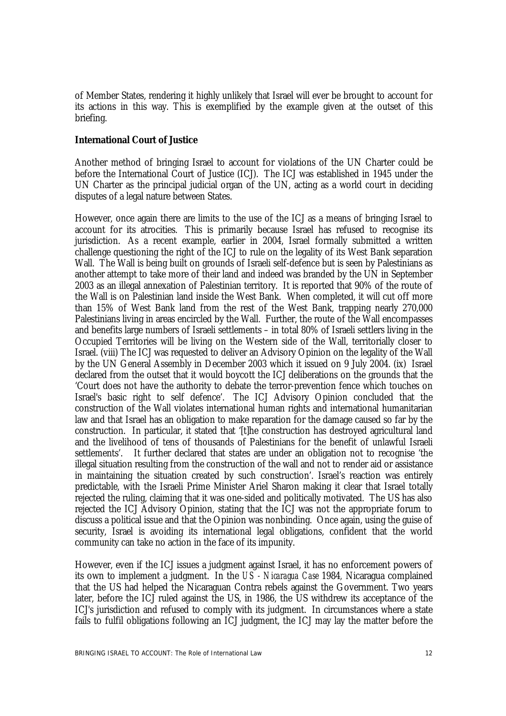of Member States, rendering it highly unlikely that Israel will ever be brought to account for its actions in this way. This is exemplified by the example given at the outset of this briefing.

#### **International Court of Justice**

Another method of bringing Israel to account for violations of the UN Charter could be before the International Court of Justice (ICJ). The ICJ was established in 1945 under the UN Charter as the principal judicial organ of the UN, acting as a world court in deciding disputes of a legal nature between States.

However, once again there are limits to the use of the ICJ as a means of bringing Israel to account for its atrocities. This is primarily because Israel has refused to recognise its jurisdiction. As a recent example, earlier in 2004, Israel formally submitted a written challenge questioning the right of the ICJ to rule on the legality of its West Bank separation Wall. The Wall is being built on grounds of Israeli self-defence but is seen by Palestinians as another attempt to take more of their land and indeed was branded by the UN in September 2003 as an illegal annexation of Palestinian territory. It is reported that 90% of the route of the Wall is on Palestinian land inside the West Bank. When completed, it will cut off more than 15% of West Bank land from the rest of the West Bank, trapping nearly 270,000 Palestinians living in areas encircled by the Wall. Further, the route of the Wall encompasses and benefits large numbers of Israeli settlements – in total 80% of Israeli settlers living in the Occupied Territories will be living on the Western side of the Wall, territorially closer to Israel. (viii) The ICJ was requested to deliver an Advisory Opinion on the legality of the Wall by the UN General Assembly in December 2003 which it issued on 9 July 2004. (ix) Israel declared from the outset that it would boycott the ICJ deliberations on the grounds that the 'Court does not have the authority to debate the terror-prevention fence which touches on Israel's basic right to self defence'. The ICJ Advisory Opinion concluded that the construction of the Wall violates international human rights and international humanitarian law and that Israel has an obligation to make reparation for the damage caused so far by the construction. In particular, it stated that '[t]he construction has destroyed agricultural land and the livelihood of tens of thousands of Palestinians for the benefit of unlawful Israeli settlements'. It further declared that states are under an obligation not to recognise 'the illegal situation resulting from the construction of the wall and not to render aid or assistance in maintaining the situation created by such construction'. Israel's reaction was entirely predictable, with the Israeli Prime Minister Ariel Sharon making it clear that Israel totally rejected the ruling, claiming that it was one-sided and politically motivated. The US has also rejected the ICJ Advisory Opinion, stating that the ICJ was not the appropriate forum to discuss a political issue and that the Opinion was nonbinding. Once again, using the guise of security, Israel is avoiding its international legal obligations, confident that the world community can take no action in the face of its impunity.

However, even if the ICJ issues a judgment against Israel, it has no enforcement powers of its own to implement a judgment. In the *US - Nicaragua Case* 1984*,* Nicaragua complained that the US had helped the Nicaraguan Contra rebels against the Government. Two years later, before the ICJ ruled against the US, in 1986, the US withdrew its acceptance of the ICJ's jurisdiction and refused to comply with its judgment. In circumstances where a state fails to fulfil obligations following an ICJ judgment, the ICJ may lay the matter before the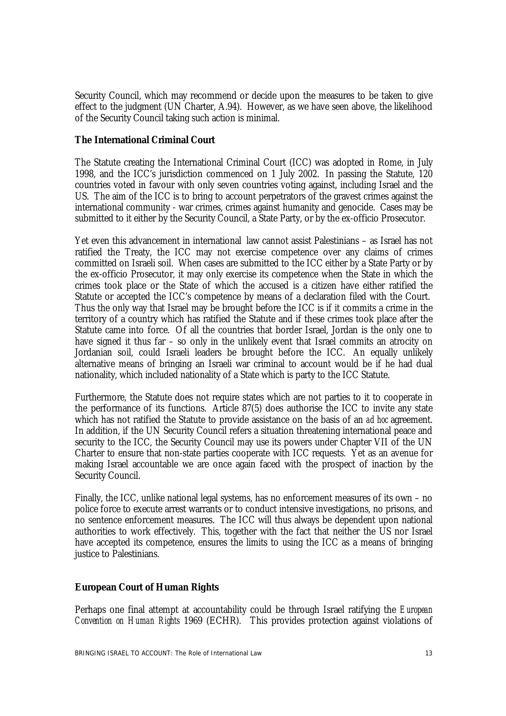Security Council, which may recommend or decide upon the measures to be taken to give effect to the judgment (UN Charter, A.94). However, as we have seen above, the likelihood of the Security Council taking such action is minimal.

#### **The International Criminal Court**

The Statute creating the International Criminal Court (ICC) was adopted in Rome, in July 1998, and the ICC's jurisdiction commenced on 1 July 2002. In passing the Statute, 120 countries voted in favour with only seven countries voting against, including Israel and the US. The aim of the ICC is to bring to account perpetrators of the gravest crimes against the international community - war crimes, crimes against humanity and genocide. Cases may be submitted to it either by the Security Council, a State Party, or by the ex-officio Prosecutor.

Yet even this advancement in international law cannot assist Palestinians – as Israel has not ratified the Treaty, the ICC may not exercise competence over any claims of crimes committed on Israeli soil. When cases are submitted to the ICC either by a State Party or by the ex-officio Prosecutor, it may only exercise its competence when the State in which the crimes took place or the State of which the accused is a citizen have either ratified the Statute or accepted the ICC's competence by means of a declaration filed with the Court. Thus the only way that Israel may be brought before the ICC is if it commits a crime in the territory of a country which has ratified the Statute and if these crimes took place after the Statute came into force. Of all the countries that border Israel, Jordan is the only one to have signed it thus far – so only in the unlikely event that Israel commits an atrocity on Jordanian soil, could Israeli leaders be brought before the ICC. An equally unlikely alternative means of bringing an Israeli war criminal to account would be if he had dual nationality, which included nationality of a State which is party to the ICC Statute.

Furthermore, the Statute does not require states which are not parties to it to cooperate in the performance of its functions. Article 87(5) does authorise the ICC to invite any state which has not ratified the Statute to provide assistance on the basis of an *ad hoc* agreement. In addition, if the UN Security Council refers a situation threatening international peace and security to the ICC, the Security Council may use its powers under Chapter VII of the UN Charter to ensure that non-state parties cooperate with ICC requests. Yet as an avenue for making Israel accountable we are once again faced with the prospect of inaction by the Security Council.

Finally, the ICC, unlike national legal systems, has no enforcement measures of its own – no police force to execute arrest warrants or to conduct intensive investigations, no prisons, and no sentence enforcement measures. The ICC will thus always be dependent upon national authorities to work effectively. This, together with the fact that neither the US nor Israel have accepted its competence, ensures the limits to using the ICC as a means of bringing justice to Palestinians.

#### **European Court of Human Rights**

Perhaps one final attempt at accountability could be through Israel ratifying the *European Convention on Human Rights* 1969 (ECHR).This provides protection against violations of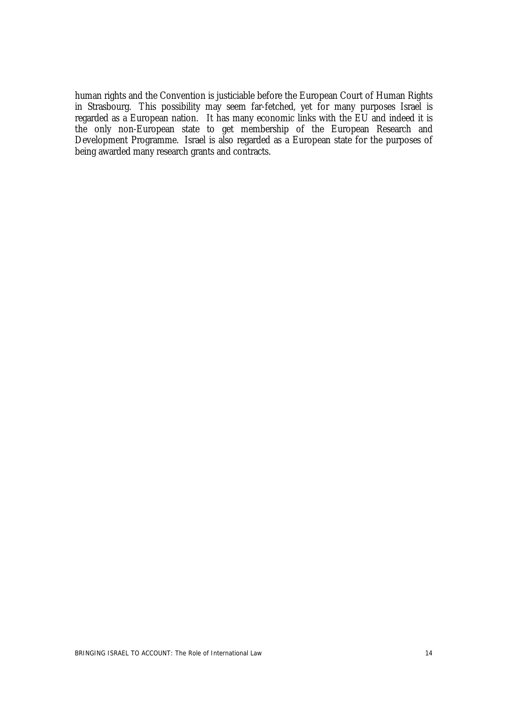human rights and the Convention is justiciable before the European Court of Human Rights in Strasbourg. This possibility may seem far-fetched, yet for many purposes Israel is regarded as a European nation. It has many economic links with the EU and indeed it is the only non-European state to get membership of the European Research and Development Programme. Israel is also regarded as a European state for the purposes of being awarded many research grants and contracts.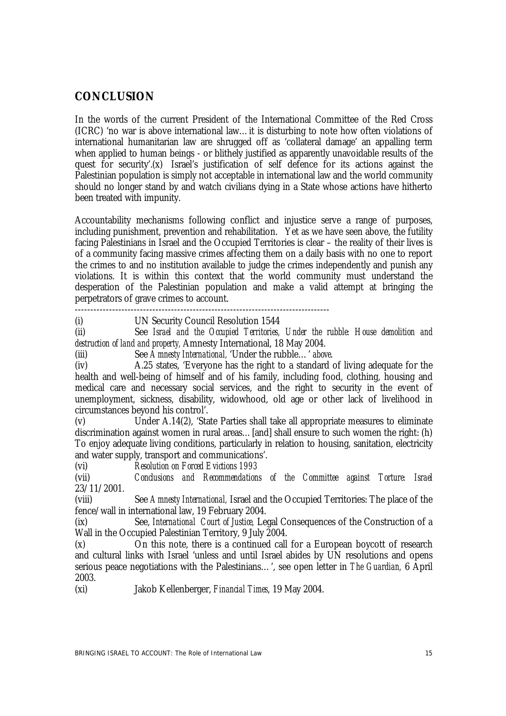## **CONCLUSION**

In the words of the current President of the International Committee of the Red Cross (ICRC) 'no war is above international law…it is disturbing to note how often violations of international humanitarian law are shrugged off as 'collateral damage' an appalling term when applied to human beings - or blithely justified as apparently unavoidable results of the quest for security'.(x) Israel's justification of self defence for its actions against the Palestinian population is simply not acceptable in international law and the world community should no longer stand by and watch civilians dying in a State whose actions have hitherto been treated with impunity.

Accountability mechanisms following conflict and injustice serve a range of purposes, including punishment, prevention and rehabilitation. Yet as we have seen above, the futility facing Palestinians in Israel and the Occupied Territories is clear – the reality of their lives is of a community facing massive crimes affecting them on a daily basis with no one to report the crimes to and no institution available to judge the crimes independently and punish any violations. It is within this context that the world community must understand the desperation of the Palestinian population and make a valid attempt at bringing the perpetrators of grave crimes to account.

----------------------------------------------------------------------------------

(i) UN Security Council Resolution 1544

(ii) See *Israel and the Occupied Territories, Under the rubble: House demolition and destruction of land and property,* Amnesty International, 18 May 2004.

(iii) See *Amnesty International,* 'Under the rubble…' *above*.

(iv) A.25 states, 'Everyone has the right to a standard of living adequate for the health and well-being of himself and of his family, including food, clothing, housing and medical care and necessary social services, and the right to security in the event of unemployment, sickness, disability, widowhood, old age or other lack of livelihood in circumstances beyond his control'.

(v) Under A.14(2), 'State Parties shall take all appropriate measures to eliminate discrimination against women in rural areas...[and] shall ensure to such women the right: (h) To enjoy adequate living conditions, particularly in relation to housing, sanitation, electricity and water supply, transport and communications'.

(vi) *Resolution on Forced Evictions 1993*

(vii) *Conclusions and Recommendations of the Committee against Torture: Israel* 23/11/2001.

(viii) See *Amnesty International,* Israel and the Occupied Territories: The place of the fence/wall in international law, 19 February 2004.

(ix) See, *International Court of Justice,* Legal Consequences of the Construction of a Wall in the Occupied Palestinian Territory, 9 July 2004.

(x) On this note, there is a continued call for a European boycott of research and cultural links with Israel 'unless and until Israel abides by UN resolutions and opens serious peace negotiations with the Palestinians…', see open letter in *The Guardian,* 6 April 2003.

(xi) Jakob Kellenberger, *Financial Times*, 19 May 2004.